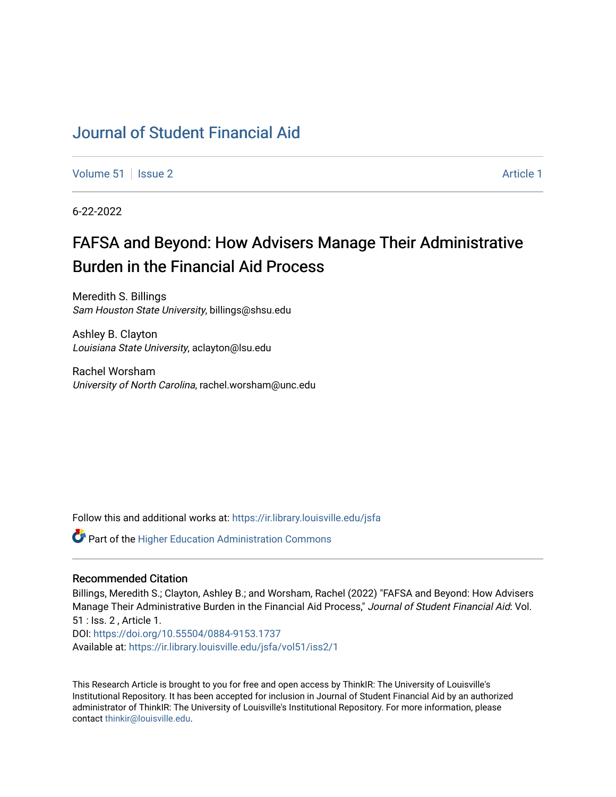# [Journal of Student Financial Aid](https://ir.library.louisville.edu/jsfa)

[Volume 51](https://ir.library.louisville.edu/jsfa/vol51) | [Issue 2](https://ir.library.louisville.edu/jsfa/vol51/iss2) Article 1

6-22-2022

# FAFSA and Beyond: How Advisers Manage Their Administrative Burden in the Financial Aid Process

Meredith S. Billings Sam Houston State University, billings@shsu.edu

Ashley B. Clayton Louisiana State University, aclayton@lsu.edu

Rachel Worsham University of North Carolina, rachel.worsham@unc.edu

Follow this and additional works at: [https://ir.library.louisville.edu/jsfa](https://ir.library.louisville.edu/jsfa?utm_source=ir.library.louisville.edu%2Fjsfa%2Fvol51%2Fiss2%2F1&utm_medium=PDF&utm_campaign=PDFCoverPages) 

**C** Part of the Higher Education Administration Commons

### Recommended Citation

Billings, Meredith S.; Clayton, Ashley B.; and Worsham, Rachel (2022) "FAFSA and Beyond: How Advisers Manage Their Administrative Burden in the Financial Aid Process," Journal of Student Financial Aid: Vol. 51 : Iss. 2 , Article 1. DOI:<https://doi.org/10.55504/0884-9153.1737> Available at: [https://ir.library.louisville.edu/jsfa/vol51/iss2/1](https://ir.library.louisville.edu/jsfa/vol51/iss2/1?utm_source=ir.library.louisville.edu%2Fjsfa%2Fvol51%2Fiss2%2F1&utm_medium=PDF&utm_campaign=PDFCoverPages) 

This Research Article is brought to you for free and open access by ThinkIR: The University of Louisville's Institutional Repository. It has been accepted for inclusion in Journal of Student Financial Aid by an authorized administrator of ThinkIR: The University of Louisville's Institutional Repository. For more information, please contact [thinkir@louisville.edu](mailto:thinkir@louisville.edu).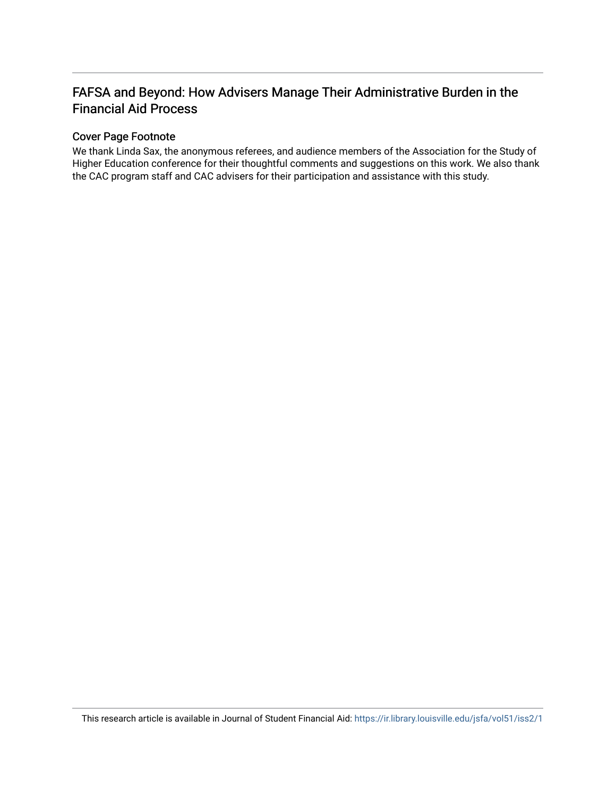## FAFSA and Beyond: How Advisers Manage Their Administrative Burden in the Financial Aid Process

### Cover Page Footnote

We thank Linda Sax, the anonymous referees, and audience members of the Association for the Study of Higher Education conference for their thoughtful comments and suggestions on this work. We also thank the CAC program staff and CAC advisers for their participation and assistance with this study.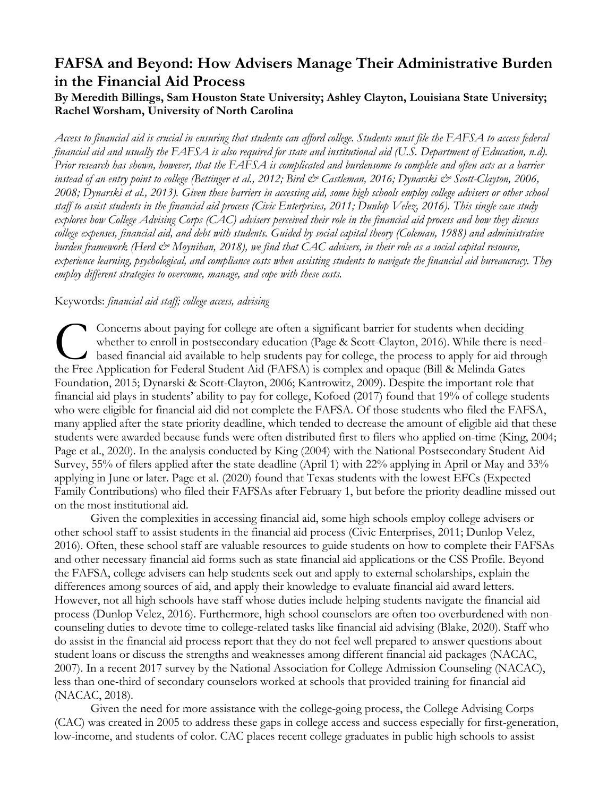# **FAFSA and Beyond: How Advisers Manage Their Administrative Burden in the Financial Aid Process**

### **By Meredith Billings, Sam Houston State University; Ashley Clayton, Louisiana State University; Rachel Worsham, University of North Carolina**

*Access to financial aid is crucial in ensuring that students can afford college. Students must file the FAFSA to access federal financial aid and usually the FAFSA is also required for state and institutional aid (U.S. Department of Education, n.d). Prior research has shown, however, that the FAFSA is complicated and burdensome to complete and often acts as a barrier*  instead of an entry point to college (Bettinger et al., 2012; Bird & Castleman, 2016; Dynarski & Scott-Clayton, 2006, *2008; Dynarski et al., 2013). Given these barriers in accessing aid, some high schools employ college advisers or other school staff to assist students in the financial aid process (Civic Enterprises, 2011; Dunlop Velez, 2016). This single case study explores how College Advising Corps (CAC) advisers perceived their role in the financial aid process and how they discuss college expenses, financial aid, and debt with students. Guided by social capital theory (Coleman, 1988) and administrative burden framework (Herd & Moynihan, 2018), we find that CAC advisers, in their role as a social capital resource, experience learning, psychological, and compliance costs when assisting students to navigate the financial aid bureaucracy. They employ different strategies to overcome, manage, and cope with these costs.*

### Keywords: *financial aid staff; college access, advising*

Concerns about paying for college are often a significant barrier for students when deciding whether to enroll in postsecondary education (Page & Scott-Clayton, 2016). While there is needbased financial aid available to help students pay for college, the process to apply for aid through Concerns about paying for college are often a significant barrier for students when deciding whether to enroll in postsecondary education (Page & Scott-Clayton, 2016). While there is no based financial aid available to hel Foundation, 2015; Dynarski & Scott-Clayton, 2006; Kantrowitz, 2009). Despite the important role that financial aid plays in students' ability to pay for college, Kofoed (2017) found that 19% of college students who were eligible for financial aid did not complete the FAFSA. Of those students who filed the FAFSA, many applied after the state priority deadline, which tended to decrease the amount of eligible aid that these students were awarded because funds were often distributed first to filers who applied on-time (King, 2004; Page et al., 2020). In the analysis conducted by King (2004) with the National Postsecondary Student Aid Survey, 55% of filers applied after the state deadline (April 1) with 22% applying in April or May and 33% applying in June or later. Page et al. (2020) found that Texas students with the lowest EFCs (Expected Family Contributions) who filed their FAFSAs after February 1, but before the priority deadline missed out on the most institutional aid.

Given the complexities in accessing financial aid, some high schools employ college advisers or other school staff to assist students in the financial aid process (Civic Enterprises, 2011; Dunlop Velez, 2016). Often, these school staff are valuable resources to guide students on how to complete their FAFSAs and other necessary financial aid forms such as state financial aid applications or the CSS Profile. Beyond the FAFSA, college advisers can help students seek out and apply to external scholarships, explain the differences among sources of aid, and apply their knowledge to evaluate financial aid award letters. However, not all high schools have staff whose duties include helping students navigate the financial aid process (Dunlop Velez, 2016). Furthermore, high school counselors are often too overburdened with noncounseling duties to devote time to college-related tasks like financial aid advising (Blake, 2020). Staff who do assist in the financial aid process report that they do not feel well prepared to answer questions about student loans or discuss the strengths and weaknesses among different financial aid packages (NACAC, 2007). In a recent 2017 survey by the National Association for College Admission Counseling (NACAC), less than one-third of secondary counselors worked at schools that provided training for financial aid (NACAC, 2018).

Given the need for more assistance with the college-going process, the College Advising Corps (CAC) was created in 2005 to address these gaps in college access and success especially for first-generation, low-income, and students of color. CAC places recent college graduates in public high schools to assist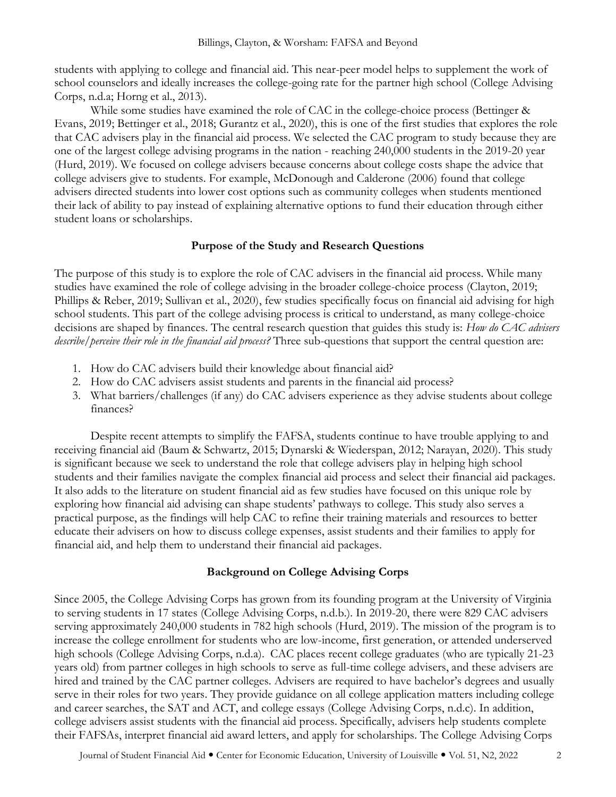students with applying to college and financial aid. This near-peer model helps to supplement the work of school counselors and ideally increases the college-going rate for the partner high school (College Advising Corps, n.d.a; Horng et al., 2013).

While some studies have examined the role of CAC in the college-choice process (Bettinger & Evans, 2019; Bettinger et al., 2018; Gurantz et al., 2020), this is one of the first studies that explores the role that CAC advisers play in the financial aid process. We selected the CAC program to study because they are one of the largest college advising programs in the nation - reaching 240,000 students in the 2019-20 year (Hurd, 2019). We focused on college advisers because concerns about college costs shape the advice that college advisers give to students. For example, McDonough and Calderone (2006) found that college advisers directed students into lower cost options such as community colleges when students mentioned their lack of ability to pay instead of explaining alternative options to fund their education through either student loans or scholarships.

#### **Purpose of the Study and Research Questions**

The purpose of this study is to explore the role of CAC advisers in the financial aid process. While many studies have examined the role of college advising in the broader college-choice process (Clayton, 2019; Phillips & Reber, 2019; Sullivan et al., 2020), few studies specifically focus on financial aid advising for high school students. This part of the college advising process is critical to understand, as many college-choice decisions are shaped by finances. The central research question that guides this study is: *How do CAC advisers describe/perceive their role in the financial aid process?* Three sub-questions that support the central question are:

- 1. How do CAC advisers build their knowledge about financial aid?
- 2. How do CAC advisers assist students and parents in the financial aid process?
- 3. What barriers/challenges (if any) do CAC advisers experience as they advise students about college finances?

Despite recent attempts to simplify the FAFSA, students continue to have trouble applying to and receiving financial aid (Baum & Schwartz, 2015; Dynarski & Wiederspan, 2012; Narayan, 2020). This study is significant because we seek to understand the role that college advisers play in helping high school students and their families navigate the complex financial aid process and select their financial aid packages. It also adds to the literature on student financial aid as few studies have focused on this unique role by exploring how financial aid advising can shape students' pathways to college. This study also serves a practical purpose, as the findings will help CAC to refine their training materials and resources to better educate their advisers on how to discuss college expenses, assist students and their families to apply for financial aid, and help them to understand their financial aid packages.

### **Background on College Advising Corps**

Since 2005, the College Advising Corps has grown from its founding program at the University of Virginia to serving students in 17 states (College Advising Corps, n.d.b.). In 2019-20, there were 829 CAC advisers serving approximately 240,000 students in 782 high schools (Hurd, 2019). The mission of the program is to increase the college enrollment for students who are low-income, first generation, or attended underserved high schools (College Advising Corps, n.d.a). CAC places recent college graduates (who are typically 21-23 years old) from partner colleges in high schools to serve as full-time college advisers, and these advisers are hired and trained by the CAC partner colleges. Advisers are required to have bachelor's degrees and usually serve in their roles for two years. They provide guidance on all college application matters including college and career searches, the SAT and ACT, and college essays (College Advising Corps, n.d.c). In addition, college advisers assist students with the financial aid process. Specifically, advisers help students complete their FAFSAs, interpret financial aid award letters, and apply for scholarships. The College Advising Corps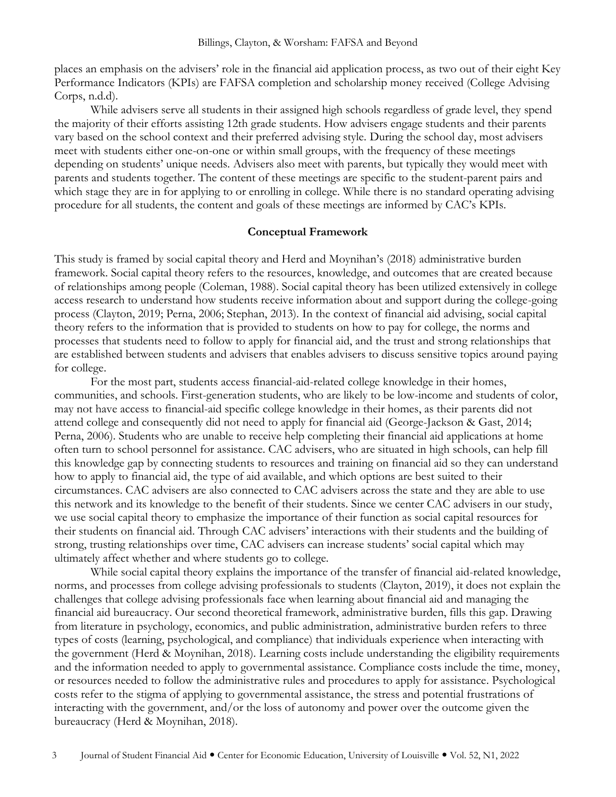places an emphasis on the advisers' role in the financial aid application process, as two out of their eight Key Performance Indicators (KPIs) are FAFSA completion and scholarship money received (College Advising Corps, n.d.d).

While advisers serve all students in their assigned high schools regardless of grade level, they spend the majority of their efforts assisting 12th grade students. How advisers engage students and their parents vary based on the school context and their preferred advising style. During the school day, most advisers meet with students either one-on-one or within small groups, with the frequency of these meetings depending on students' unique needs. Advisers also meet with parents, but typically they would meet with parents and students together. The content of these meetings are specific to the student-parent pairs and which stage they are in for applying to or enrolling in college. While there is no standard operating advising procedure for all students, the content and goals of these meetings are informed by CAC's KPIs.

### **Conceptual Framework**

This study is framed by social capital theory and Herd and Moynihan's (2018) administrative burden framework. Social capital theory refers to the resources, knowledge, and outcomes that are created because of relationships among people (Coleman, 1988). Social capital theory has been utilized extensively in college access research to understand how students receive information about and support during the college-going process (Clayton, 2019; Perna, 2006; Stephan, 2013). In the context of financial aid advising, social capital theory refers to the information that is provided to students on how to pay for college, the norms and processes that students need to follow to apply for financial aid, and the trust and strong relationships that are established between students and advisers that enables advisers to discuss sensitive topics around paying for college.

For the most part, students access financial-aid-related college knowledge in their homes, communities, and schools. First-generation students, who are likely to be low-income and students of color, may not have access to financial-aid specific college knowledge in their homes, as their parents did not attend college and consequently did not need to apply for financial aid (George-Jackson & Gast, 2014; Perna, 2006). Students who are unable to receive help completing their financial aid applications at home often turn to school personnel for assistance. CAC advisers, who are situated in high schools, can help fill this knowledge gap by connecting students to resources and training on financial aid so they can understand how to apply to financial aid, the type of aid available, and which options are best suited to their circumstances. CAC advisers are also connected to CAC advisers across the state and they are able to use this network and its knowledge to the benefit of their students. Since we center CAC advisers in our study, we use social capital theory to emphasize the importance of their function as social capital resources for their students on financial aid. Through CAC advisers' interactions with their students and the building of strong, trusting relationships over time, CAC advisers can increase students' social capital which may ultimately affect whether and where students go to college.

While social capital theory explains the importance of the transfer of financial aid-related knowledge, norms, and processes from college advising professionals to students (Clayton, 2019), it does not explain the challenges that college advising professionals face when learning about financial aid and managing the financial aid bureaucracy. Our second theoretical framework, administrative burden, fills this gap. Drawing from literature in psychology, economics, and public administration, administrative burden refers to three types of costs (learning, psychological, and compliance) that individuals experience when interacting with the government (Herd & Moynihan, 2018). Learning costs include understanding the eligibility requirements and the information needed to apply to governmental assistance. Compliance costs include the time, money, or resources needed to follow the administrative rules and procedures to apply for assistance. Psychological costs refer to the stigma of applying to governmental assistance, the stress and potential frustrations of interacting with the government, and/or the loss of autonomy and power over the outcome given the bureaucracy (Herd & Moynihan, 2018).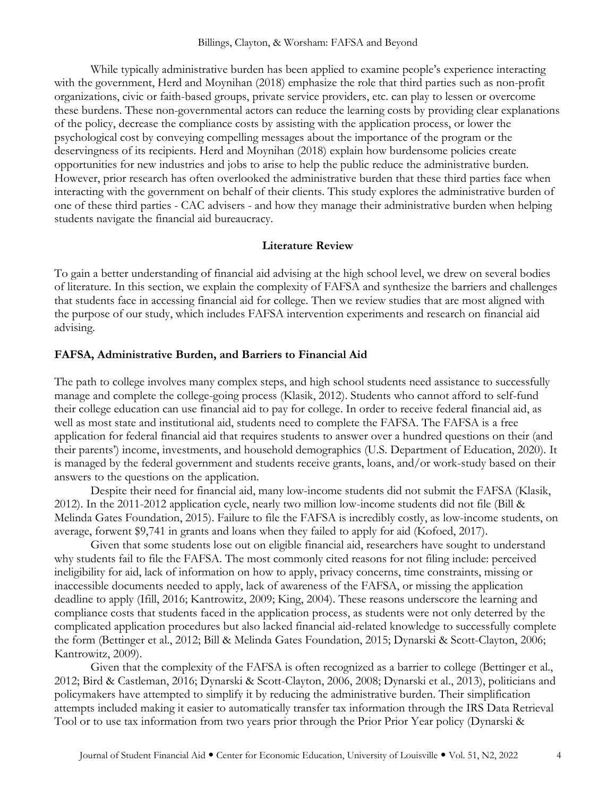While typically administrative burden has been applied to examine people's experience interacting with the government, Herd and Moynihan (2018) emphasize the role that third parties such as non-profit organizations, civic or faith-based groups, private service providers, etc. can play to lessen or overcome these burdens. These non-governmental actors can reduce the learning costs by providing clear explanations of the policy, decrease the compliance costs by assisting with the application process, or lower the psychological cost by conveying compelling messages about the importance of the program or the deservingness of its recipients. Herd and Moynihan (2018) explain how burdensome policies create opportunities for new industries and jobs to arise to help the public reduce the administrative burden. However, prior research has often overlooked the administrative burden that these third parties face when interacting with the government on behalf of their clients. This study explores the administrative burden of one of these third parties - CAC advisers - and how they manage their administrative burden when helping students navigate the financial aid bureaucracy.

### **Literature Review**

To gain a better understanding of financial aid advising at the high school level, we drew on several bodies of literature. In this section, we explain the complexity of FAFSA and synthesize the barriers and challenges that students face in accessing financial aid for college. Then we review studies that are most aligned with the purpose of our study, which includes FAFSA intervention experiments and research on financial aid advising.

### **FAFSA, Administrative Burden, and Barriers to Financial Aid**

The path to college involves many complex steps, and high school students need assistance to successfully manage and complete the college-going process (Klasik, 2012). Students who cannot afford to self-fund their college education can use financial aid to pay for college. In order to receive federal financial aid, as well as most state and institutional aid, students need to complete the FAFSA. The FAFSA is a free application for federal financial aid that requires students to answer over a hundred questions on their (and their parents') income, investments, and household demographics (U.S. Department of Education, 2020). It is managed by the federal government and students receive grants, loans, and/or work-study based on their answers to the questions on the application.

Despite their need for financial aid, many low-income students did not submit the FAFSA (Klasik, 2012). In the 2011-2012 application cycle, nearly two million low-income students did not file (Bill & Melinda Gates Foundation, 2015). Failure to file the FAFSA is incredibly costly, as low-income students, on average, forwent \$9,741 in grants and loans when they failed to apply for aid (Kofoed, 2017).

Given that some students lose out on eligible financial aid, researchers have sought to understand why students fail to file the FAFSA. The most commonly cited reasons for not filing include: perceived ineligibility for aid, lack of information on how to apply, privacy concerns, time constraints, missing or inaccessible documents needed to apply, lack of awareness of the FAFSA, or missing the application deadline to apply (Ifill, 2016; Kantrowitz, 2009; King, 2004). These reasons underscore the learning and compliance costs that students faced in the application process, as students were not only deterred by the complicated application procedures but also lacked financial aid-related knowledge to successfully complete the form (Bettinger et al., 2012; Bill & Melinda Gates Foundation, 2015; Dynarski & Scott-Clayton, 2006; Kantrowitz, 2009).

Given that the complexity of the FAFSA is often recognized as a barrier to college (Bettinger et al., 2012; Bird & Castleman, 2016; Dynarski & Scott-Clayton, 2006, 2008; Dynarski et al., 2013), politicians and policymakers have attempted to simplify it by reducing the administrative burden. Their simplification attempts included making it easier to automatically transfer tax information through the IRS Data Retrieval Tool or to use tax information from two years prior through the Prior Prior Year policy (Dynarski &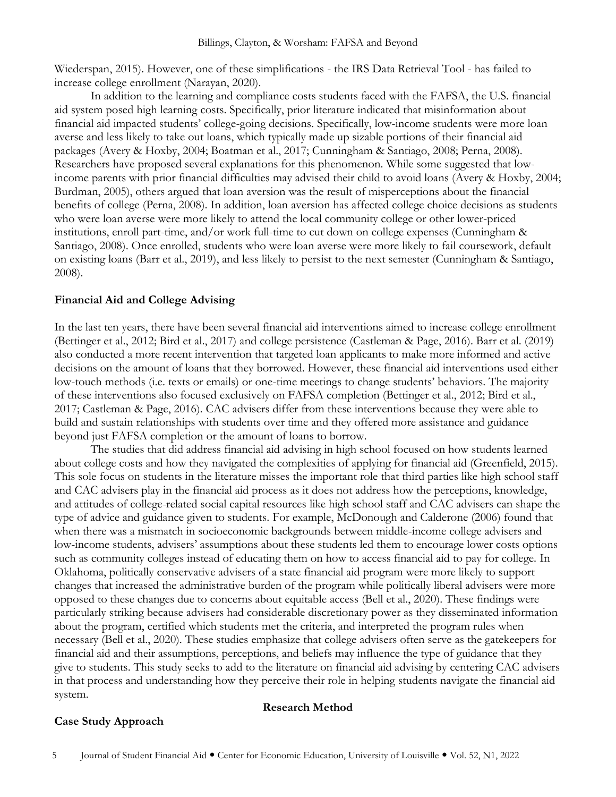Wiederspan, 2015). However, one of these simplifications - the IRS Data Retrieval Tool - has failed to increase college enrollment (Narayan, 2020).

In addition to the learning and compliance costs students faced with the FAFSA, the U.S. financial aid system posed high learning costs. Specifically, prior literature indicated that misinformation about financial aid impacted students' college-going decisions. Specifically, low-income students were more loan averse and less likely to take out loans, which typically made up sizable portions of their financial aid packages (Avery & Hoxby, 2004; Boatman et al., 2017; Cunningham & Santiago, 2008; Perna, 2008). Researchers have proposed several explanations for this phenomenon. While some suggested that lowincome parents with prior financial difficulties may advised their child to avoid loans (Avery & Hoxby, 2004; Burdman, 2005), others argued that loan aversion was the result of misperceptions about the financial benefits of college (Perna, 2008). In addition, loan aversion has affected college choice decisions as students who were loan averse were more likely to attend the local community college or other lower-priced institutions, enroll part-time, and/or work full-time to cut down on college expenses (Cunningham & Santiago, 2008). Once enrolled, students who were loan averse were more likely to fail coursework, default on existing loans (Barr et al., 2019), and less likely to persist to the next semester (Cunningham & Santiago, 2008).

### **Financial Aid and College Advising**

In the last ten years, there have been several financial aid interventions aimed to increase college enrollment (Bettinger et al., 2012; Bird et al., 2017) and college persistence (Castleman & Page, 2016). Barr et al. (2019) also conducted a more recent intervention that targeted loan applicants to make more informed and active decisions on the amount of loans that they borrowed. However, these financial aid interventions used either low-touch methods (i.e. texts or emails) or one-time meetings to change students' behaviors. The majority of these interventions also focused exclusively on FAFSA completion (Bettinger et al., 2012; Bird et al., 2017; Castleman & Page, 2016). CAC advisers differ from these interventions because they were able to build and sustain relationships with students over time and they offered more assistance and guidance beyond just FAFSA completion or the amount of loans to borrow.

The studies that did address financial aid advising in high school focused on how students learned about college costs and how they navigated the complexities of applying for financial aid (Greenfield, 2015). This sole focus on students in the literature misses the important role that third parties like high school staff and CAC advisers play in the financial aid process as it does not address how the perceptions, knowledge, and attitudes of college-related social capital resources like high school staff and CAC advisers can shape the type of advice and guidance given to students. For example, McDonough and Calderone (2006) found that when there was a mismatch in socioeconomic backgrounds between middle-income college advisers and low-income students, advisers' assumptions about these students led them to encourage lower costs options such as community colleges instead of educating them on how to access financial aid to pay for college. In Oklahoma, politically conservative advisers of a state financial aid program were more likely to support changes that increased the administrative burden of the program while politically liberal advisers were more opposed to these changes due to concerns about equitable access (Bell et al., 2020). These findings were particularly striking because advisers had considerable discretionary power as they disseminated information about the program, certified which students met the criteria, and interpreted the program rules when necessary (Bell et al., 2020). These studies emphasize that college advisers often serve as the gatekeepers for financial aid and their assumptions, perceptions, and beliefs may influence the type of guidance that they give to students. This study seeks to add to the literature on financial aid advising by centering CAC advisers in that process and understanding how they perceive their role in helping students navigate the financial aid system.

### **Case Study Approach**

### **Research Method**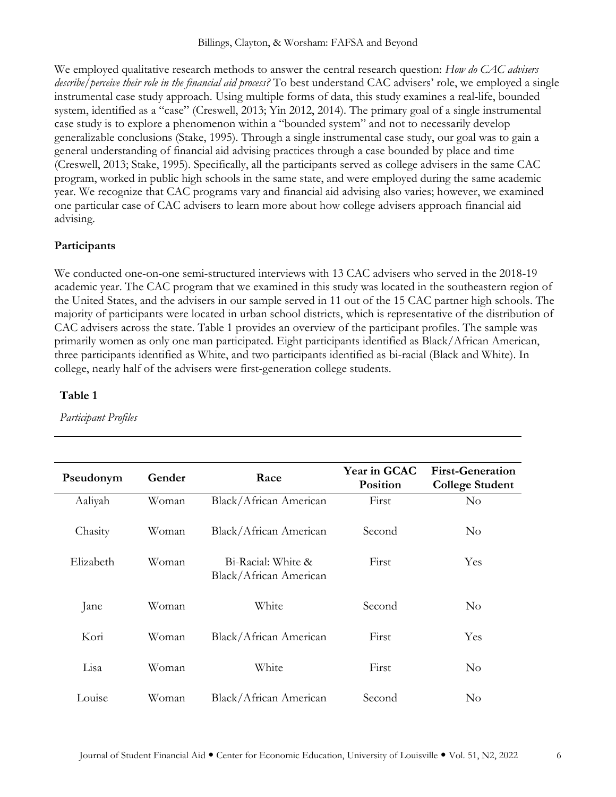We employed qualitative research methods to answer the central research question: *How do CAC advisers describe/perceive their role in the financial aid process?* To best understand CAC advisers' role, we employed a single instrumental case study approach. Using multiple forms of data, this study examines a real-life, bounded system, identified as a "case" (Creswell, 2013; Yin 2012, 2014). The primary goal of a single instrumental case study is to explore a phenomenon within a "bounded system" and not to necessarily develop generalizable conclusions (Stake, 1995). Through a single instrumental case study, our goal was to gain a general understanding of financial aid advising practices through a case bounded by place and time (Creswell, 2013; Stake, 1995). Specifically, all the participants served as college advisers in the same CAC program, worked in public high schools in the same state, and were employed during the same academic year. We recognize that CAC programs vary and financial aid advising also varies; however, we examined one particular case of CAC advisers to learn more about how college advisers approach financial aid advising.

### **Participants**

We conducted one-on-one semi-structured interviews with 13 CAC advisers who served in the 2018-19 academic year. The CAC program that we examined in this study was located in the southeastern region of the United States, and the advisers in our sample served in 11 out of the 15 CAC partner high schools. The majority of participants were located in urban school districts, which is representative of the distribution of CAC advisers across the state. Table 1 provides an overview of the participant profiles. The sample was primarily women as only one man participated. Eight participants identified as Black/African American, three participants identified as White, and two participants identified as bi-racial (Black and White). In college, nearly half of the advisers were first-generation college students.

### **Table 1**

*Participant Profiles*

| Pseudonym | Gender | Race                                         | <b>Year in GCAC</b><br><b>Position</b> | <b>First-Generation</b><br><b>College Student</b> |
|-----------|--------|----------------------------------------------|----------------------------------------|---------------------------------------------------|
| Aaliyah   | Woman  | Black/African American                       | First                                  | $\rm No$                                          |
| Chasity   | Woman  | Black/African American                       | Second                                 | $\rm No$                                          |
| Elizabeth | Woman  | Bi-Racial: White &<br>Black/African American | First                                  | Yes                                               |
| Jane      | Woman  | White                                        | Second                                 | $\rm No$                                          |
| Kori      | Woman  | Black/African American                       | First                                  | Yes                                               |
| Lisa      | Woman  | White                                        | First                                  | $\rm No$                                          |
| Louise    | Woman  | Black/African American                       | Second                                 | $\rm No$                                          |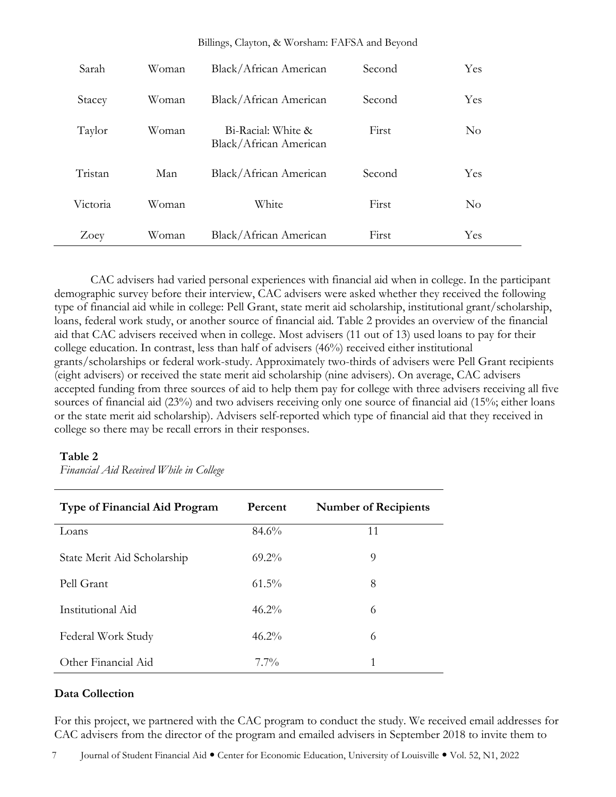| Sarah    | Woman | Black/African American                       | Second | Yes      |
|----------|-------|----------------------------------------------|--------|----------|
| Stacey   | Woman | Black/African American                       | Second | Yes      |
| Taylor   | Woman | Bi-Racial: White &<br>Black/African American | First  | $\rm No$ |
| Tristan  | Man   | Black/African American                       | Second | Yes      |
| Victoria | Woman | White                                        | First  | $\rm No$ |
| Zoey     | Woman | Black/African American                       | First  | Yes      |

Billings, Clayton, & Worsham: FAFSA and Beyond

CAC advisers had varied personal experiences with financial aid when in college. In the participant demographic survey before their interview, CAC advisers were asked whether they received the following type of financial aid while in college: Pell Grant, state merit aid scholarship, institutional grant/scholarship, loans, federal work study, or another source of financial aid. Table 2 provides an overview of the financial aid that CAC advisers received when in college. Most advisers (11 out of 13) used loans to pay for their college education. In contrast, less than half of advisers (46%) received either institutional grants/scholarships or federal work-study. Approximately two-thirds of advisers were Pell Grant recipients (eight advisers) or received the state merit aid scholarship (nine advisers). On average, CAC advisers accepted funding from three sources of aid to help them pay for college with three advisers receiving all five sources of financial aid (23%) and two advisers receiving only one source of financial aid (15%; either loans or the state merit aid scholarship). Advisers self-reported which type of financial aid that they received in college so there may be recall errors in their responses.

### **Table 2**

*Financial Aid Received While in College*

| <b>Type of Financial Aid Program</b> | Percent  | <b>Number of Recipients</b> |
|--------------------------------------|----------|-----------------------------|
| Loans                                | 84.6%    | 11                          |
| State Merit Aid Scholarship          | $69.2\%$ | 9                           |
| Pell Grant                           | $61.5\%$ | 8                           |
| Institutional Aid                    | $46.2\%$ | 6                           |
| Federal Work Study                   | $46.2\%$ | 6                           |
| Other Financial Aid                  | $7.7\%$  | 1                           |

### **Data Collection**

For this project, we partnered with the CAC program to conduct the study. We received email addresses for CAC advisers from the director of the program and emailed advisers in September 2018 to invite them to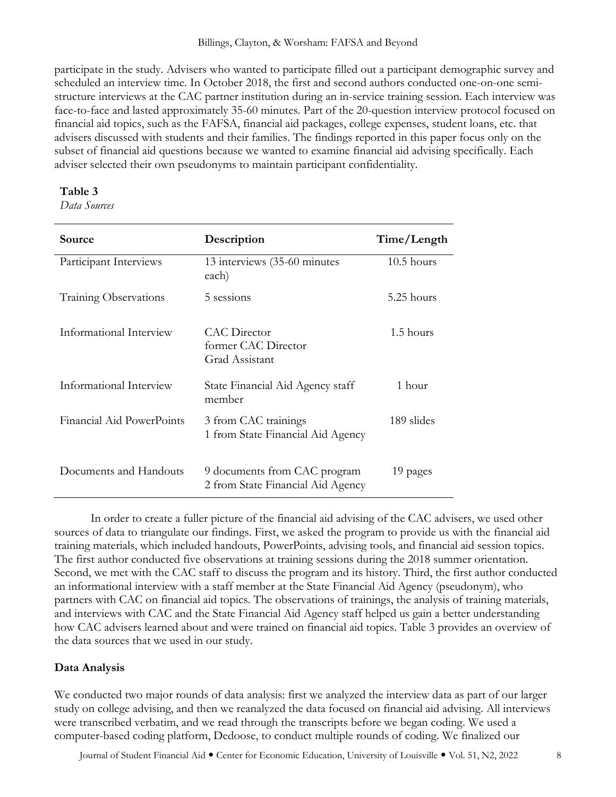participate in the study. Advisers who wanted to participate filled out a participant demographic survey and scheduled an interview time. In October 2018, the first and second authors conducted one-on-one semistructure interviews at the CAC partner institution during an in-service training session. Each interview was face-to-face and lasted approximately 35-60 minutes. Part of the 20-question interview protocol focused on financial aid topics, such as the FAFSA, financial aid packages, college expenses, student loans, etc. that advisers discussed with students and their families. The findings reported in this paper focus only on the subset of financial aid questions because we wanted to examine financial aid advising specifically. Each adviser selected their own pseudonyms to maintain participant confidentiality.

### **Table 3**

*Data Sources*

| Source                       | Description                                                       | Time/Length  |
|------------------------------|-------------------------------------------------------------------|--------------|
| Participant Interviews       | 13 interviews (35-60 minutes<br>each)                             | $10.5$ hours |
| <b>Training Observations</b> | 5 sessions                                                        | 5.25 hours   |
| Informational Interview      | CAC Director<br>former CAC Director<br>Grad Assistant             | 1.5 hours    |
| Informational Interview      | State Financial Aid Agency staff<br>member                        | 1 hour       |
| Financial Aid PowerPoints    | 3 from CAC trainings<br>1 from State Financial Aid Agency         | 189 slides   |
| Documents and Handouts       | 9 documents from CAC program<br>2 from State Financial Aid Agency | 19 pages     |

In order to create a fuller picture of the financial aid advising of the CAC advisers, we used other sources of data to triangulate our findings. First, we asked the program to provide us with the financial aid training materials, which included handouts, PowerPoints, advising tools, and financial aid session topics. The first author conducted five observations at training sessions during the 2018 summer orientation. Second, we met with the CAC staff to discuss the program and its history. Third, the first author conducted an informational interview with a staff member at the State Financial Aid Agency (pseudonym), who partners with CAC on financial aid topics. The observations of trainings, the analysis of training materials, and interviews with CAC and the State Financial Aid Agency staff helped us gain a better understanding how CAC advisers learned about and were trained on financial aid topics. Table 3 provides an overview of the data sources that we used in our study.

### **Data Analysis**

We conducted two major rounds of data analysis: first we analyzed the interview data as part of our larger study on college advising, and then we reanalyzed the data focused on financial aid advising. All interviews were transcribed verbatim, and we read through the transcripts before we began coding. We used a computer-based coding platform, Dedoose, to conduct multiple rounds of coding. We finalized our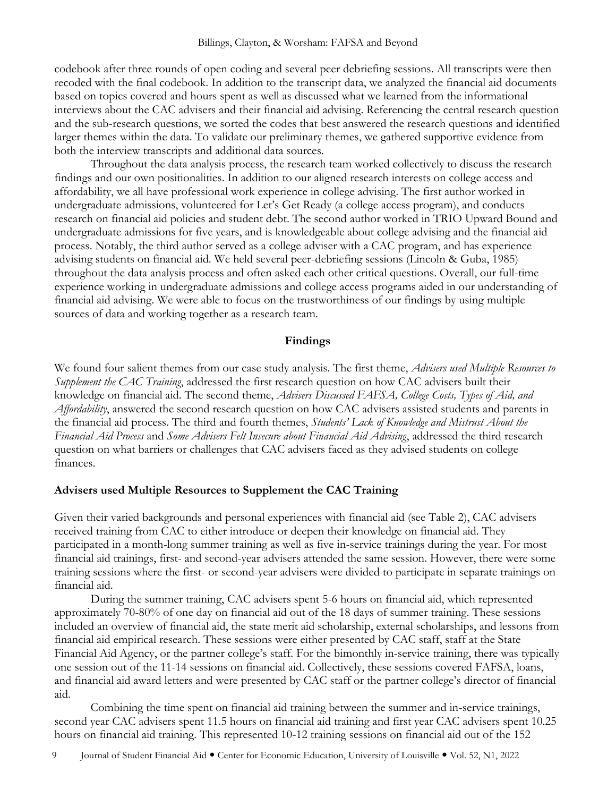codebook after three rounds of open coding and several peer debriefing sessions. All transcripts were then recoded with the final codebook. In addition to the transcript data, we analyzed the financial aid documents based on topics covered and hours spent as well as discussed what we learned from the informational interviews about the CAC advisers and their financial aid advising. Referencing the central research question and the sub-research questions, we sorted the codes that best answered the research questions and identified larger themes within the data. To validate our preliminary themes, we gathered supportive evidence from both the interview transcripts and additional data sources.

Throughout the data analysis process, the research team worked collectively to discuss the research findings and our own positionalities. In addition to our aligned research interests on college access and affordability, we all have professional work experience in college advising. The first author worked in undergraduate admissions, volunteered for Let's Get Ready (a college access program), and conducts research on financial aid policies and student debt. The second author worked in TRIO Upward Bound and undergraduate admissions for five years, and is knowledgeable about college advising and the financial aid process. Notably, the third author served as a college adviser with a CAC program, and has experience advising students on financial aid. We held several peer-debriefing sessions (Lincoln & Guba, 1985) throughout the data analysis process and often asked each other critical questions. Overall, our full-time experience working in undergraduate admissions and college access programs aided in our understanding of financial aid advising. We were able to focus on the trustworthiness of our findings by using multiple sources of data and working together as a research team.

### **Findings**

We found four salient themes from our case study analysis. The first theme, *Advisers used Multiple Resources to Supplement the CAC Training*, addressed the first research question on how CAC advisers built their knowledge on financial aid. The second theme, *Advisers Discussed FAFSA, College Costs, Types of Aid, and Affordability*, answered the second research question on how CAC advisers assisted students and parents in the financial aid process. The third and fourth themes, *Students' Lack of Knowledge and Mistrust About the Financial Aid Process* and *Some Advisers Felt Insecure about Financial Aid Advising*, addressed the third research question on what barriers or challenges that CAC advisers faced as they advised students on college finances.

### **Advisers used Multiple Resources to Supplement the CAC Training**

Given their varied backgrounds and personal experiences with financial aid (see Table 2), CAC advisers received training from CAC to either introduce or deepen their knowledge on financial aid. They participated in a month-long summer training as well as five in-service trainings during the year. For most financial aid trainings, first- and second-year advisers attended the same session. However, there were some training sessions where the first- or second-year advisers were divided to participate in separate trainings on financial aid.

During the summer training, CAC advisers spent 5-6 hours on financial aid, which represented approximately 70-80% of one day on financial aid out of the 18 days of summer training. These sessions included an overview of financial aid, the state merit aid scholarship, external scholarships, and lessons from financial aid empirical research. These sessions were either presented by CAC staff, staff at the State Financial Aid Agency, or the partner college's staff. For the bimonthly in-service training, there was typically one session out of the 11-14 sessions on financial aid. Collectively, these sessions covered FAFSA, loans, and financial aid award letters and were presented by CAC staff or the partner college's director of financial aid.

Combining the time spent on financial aid training between the summer and in-service trainings, second year CAC advisers spent 11.5 hours on financial aid training and first year CAC advisers spent 10.25 hours on financial aid training. This represented 10-12 training sessions on financial aid out of the 152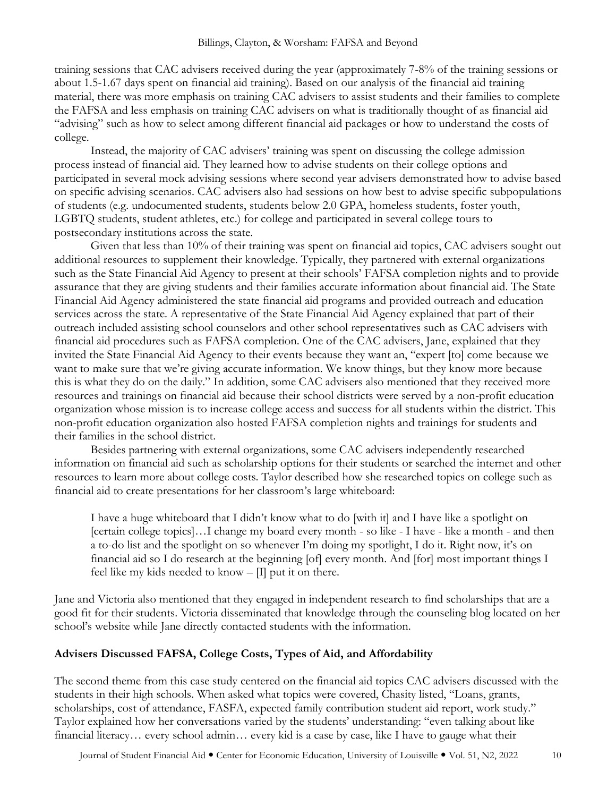training sessions that CAC advisers received during the year (approximately 7-8% of the training sessions or about 1.5-1.67 days spent on financial aid training). Based on our analysis of the financial aid training material, there was more emphasis on training CAC advisers to assist students and their families to complete the FAFSA and less emphasis on training CAC advisers on what is traditionally thought of as financial aid "advising" such as how to select among different financial aid packages or how to understand the costs of college.

Instead, the majority of CAC advisers' training was spent on discussing the college admission process instead of financial aid. They learned how to advise students on their college options and participated in several mock advising sessions where second year advisers demonstrated how to advise based on specific advising scenarios. CAC advisers also had sessions on how best to advise specific subpopulations of students (e.g. undocumented students, students below 2.0 GPA, homeless students, foster youth, LGBTQ students, student athletes, etc.) for college and participated in several college tours to postsecondary institutions across the state.

Given that less than 10% of their training was spent on financial aid topics, CAC advisers sought out additional resources to supplement their knowledge. Typically, they partnered with external organizations such as the State Financial Aid Agency to present at their schools' FAFSA completion nights and to provide assurance that they are giving students and their families accurate information about financial aid. The State Financial Aid Agency administered the state financial aid programs and provided outreach and education services across the state. A representative of the State Financial Aid Agency explained that part of their outreach included assisting school counselors and other school representatives such as CAC advisers with financial aid procedures such as FAFSA completion. One of the CAC advisers, Jane, explained that they invited the State Financial Aid Agency to their events because they want an, "expert [to] come because we want to make sure that we're giving accurate information. We know things, but they know more because this is what they do on the daily." In addition, some CAC advisers also mentioned that they received more resources and trainings on financial aid because their school districts were served by a non-profit education organization whose mission is to increase college access and success for all students within the district. This non-profit education organization also hosted FAFSA completion nights and trainings for students and their families in the school district.

Besides partnering with external organizations, some CAC advisers independently researched information on financial aid such as scholarship options for their students or searched the internet and other resources to learn more about college costs. Taylor described how she researched topics on college such as financial aid to create presentations for her classroom's large whiteboard:

I have a huge whiteboard that I didn't know what to do [with it] and I have like a spotlight on [certain college topics]...I change my board every month - so like - I have - like a month - and then a to-do list and the spotlight on so whenever I'm doing my spotlight, I do it. Right now, it's on financial aid so I do research at the beginning [of] every month. And [for] most important things I feel like my kids needed to know  $-$  [I] put it on there.

Jane and Victoria also mentioned that they engaged in independent research to find scholarships that are a good fit for their students. Victoria disseminated that knowledge through the counseling blog located on her school's website while Jane directly contacted students with the information.

### **Advisers Discussed FAFSA, College Costs, Types of Aid, and Affordability**

The second theme from this case study centered on the financial aid topics CAC advisers discussed with the students in their high schools. When asked what topics were covered, Chasity listed, "Loans, grants, scholarships, cost of attendance, FASFA, expected family contribution student aid report, work study." Taylor explained how her conversations varied by the students' understanding: "even talking about like financial literacy… every school admin… every kid is a case by case, like I have to gauge what their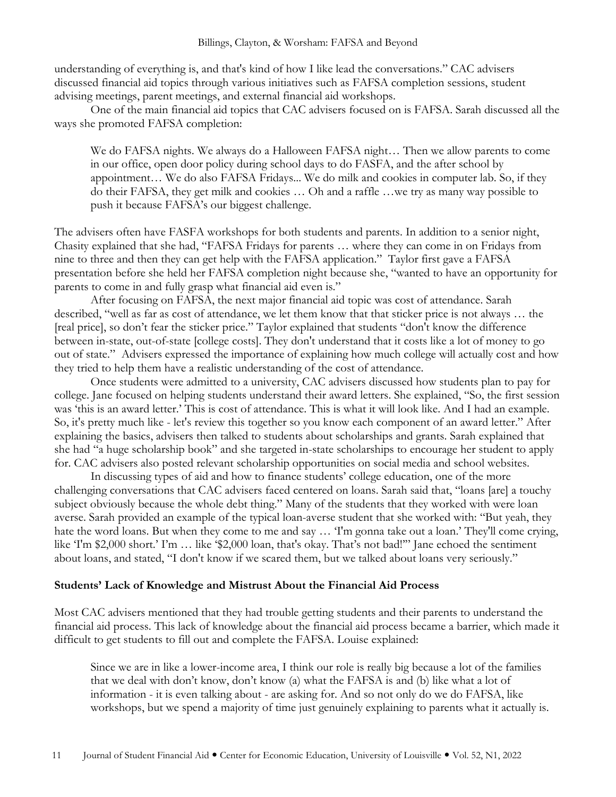understanding of everything is, and that's kind of how I like lead the conversations." CAC advisers discussed financial aid topics through various initiatives such as FAFSA completion sessions, student advising meetings, parent meetings, and external financial aid workshops.

One of the main financial aid topics that CAC advisers focused on is FAFSA. Sarah discussed all the ways she promoted FAFSA completion:

We do FAFSA nights. We always do a Halloween FAFSA night… Then we allow parents to come in our office, open door policy during school days to do FASFA, and the after school by appointment… We do also FAFSA Fridays... We do milk and cookies in computer lab. So, if they do their FAFSA, they get milk and cookies … Oh and a raffle …we try as many way possible to push it because FAFSA's our biggest challenge.

The advisers often have FASFA workshops for both students and parents. In addition to a senior night, Chasity explained that she had, "FAFSA Fridays for parents … where they can come in on Fridays from nine to three and then they can get help with the FAFSA application." Taylor first gave a FAFSA presentation before she held her FAFSA completion night because she, "wanted to have an opportunity for parents to come in and fully grasp what financial aid even is."

After focusing on FAFSA, the next major financial aid topic was cost of attendance. Sarah described, "well as far as cost of attendance, we let them know that that sticker price is not always … the [real price], so don't fear the sticker price." Taylor explained that students "don't know the difference between in-state, out-of-state [college costs]. They don't understand that it costs like a lot of money to go out of state." Advisers expressed the importance of explaining how much college will actually cost and how they tried to help them have a realistic understanding of the cost of attendance.

Once students were admitted to a university, CAC advisers discussed how students plan to pay for college. Jane focused on helping students understand their award letters. She explained, "So, the first session was 'this is an award letter.' This is cost of attendance. This is what it will look like. And I had an example. So, it's pretty much like - let's review this together so you know each component of an award letter." After explaining the basics, advisers then talked to students about scholarships and grants. Sarah explained that she had "a huge scholarship book" and she targeted in-state scholarships to encourage her student to apply for. CAC advisers also posted relevant scholarship opportunities on social media and school websites.

In discussing types of aid and how to finance students' college education, one of the more challenging conversations that CAC advisers faced centered on loans. Sarah said that, "loans [are] a touchy subject obviously because the whole debt thing." Many of the students that they worked with were loan averse. Sarah provided an example of the typical loan-averse student that she worked with: "But yeah, they hate the word loans. But when they come to me and say ... 'I'm gonna take out a loan.' They'll come crying, like 'I'm \$2,000 short.' I'm ... like '\$2,000 loan, that's okay. That's not bad!" Jane echoed the sentiment about loans, and stated, "I don't know if we scared them, but we talked about loans very seriously."

#### **Students' Lack of Knowledge and Mistrust About the Financial Aid Process**

Most CAC advisers mentioned that they had trouble getting students and their parents to understand the financial aid process. This lack of knowledge about the financial aid process became a barrier, which made it difficult to get students to fill out and complete the FAFSA. Louise explained:

Since we are in like a lower-income area, I think our role is really big because a lot of the families that we deal with don't know, don't know (a) what the FAFSA is and (b) like what a lot of information - it is even talking about - are asking for. And so not only do we do FAFSA, like workshops, but we spend a majority of time just genuinely explaining to parents what it actually is.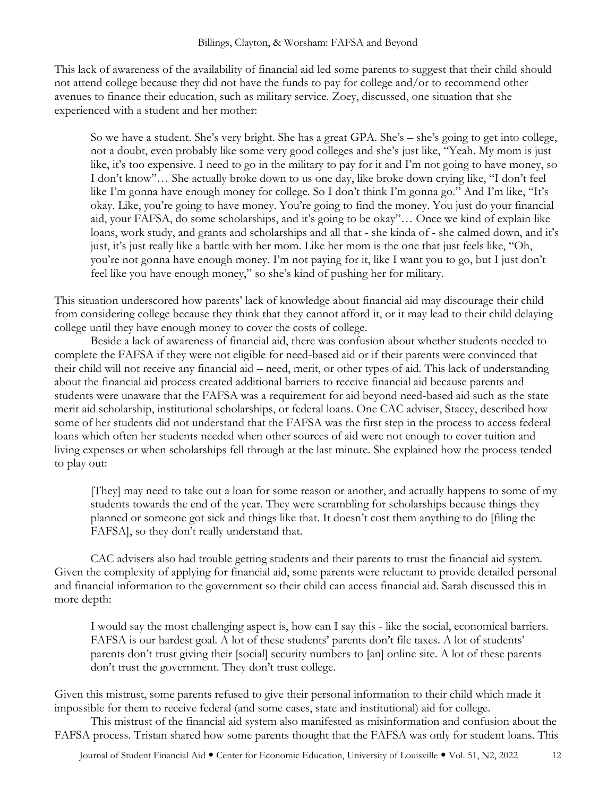This lack of awareness of the availability of financial aid led some parents to suggest that their child should not attend college because they did not have the funds to pay for college and/or to recommend other avenues to finance their education, such as military service. Zoey, discussed, one situation that she experienced with a student and her mother:

So we have a student. She's very bright. She has a great GPA. She's – she's going to get into college, not a doubt, even probably like some very good colleges and she's just like, "Yeah. My mom is just like, it's too expensive. I need to go in the military to pay for it and I'm not going to have money, so I don't know"… She actually broke down to us one day, like broke down crying like, "I don't feel like I'm gonna have enough money for college. So I don't think I'm gonna go." And I'm like, "It's okay. Like, you're going to have money. You're going to find the money. You just do your financial aid, your FAFSA, do some scholarships, and it's going to be okay"… Once we kind of explain like loans, work study, and grants and scholarships and all that - she kinda of - she calmed down, and it's just, it's just really like a battle with her mom. Like her mom is the one that just feels like, "Oh, you're not gonna have enough money. I'm not paying for it, like I want you to go, but I just don't feel like you have enough money," so she's kind of pushing her for military.

This situation underscored how parents' lack of knowledge about financial aid may discourage their child from considering college because they think that they cannot afford it, or it may lead to their child delaying college until they have enough money to cover the costs of college.

Beside a lack of awareness of financial aid, there was confusion about whether students needed to complete the FAFSA if they were not eligible for need-based aid or if their parents were convinced that their child will not receive any financial aid – need, merit, or other types of aid. This lack of understanding about the financial aid process created additional barriers to receive financial aid because parents and students were unaware that the FAFSA was a requirement for aid beyond need-based aid such as the state merit aid scholarship, institutional scholarships, or federal loans. One CAC adviser, Stacey, described how some of her students did not understand that the FAFSA was the first step in the process to access federal loans which often her students needed when other sources of aid were not enough to cover tuition and living expenses or when scholarships fell through at the last minute. She explained how the process tended to play out:

[They] may need to take out a loan for some reason or another, and actually happens to some of my students towards the end of the year. They were scrambling for scholarships because things they planned or someone got sick and things like that. It doesn't cost them anything to do [filing the FAFSA], so they don't really understand that.

CAC advisers also had trouble getting students and their parents to trust the financial aid system. Given the complexity of applying for financial aid, some parents were reluctant to provide detailed personal and financial information to the government so their child can access financial aid. Sarah discussed this in more depth:

I would say the most challenging aspect is, how can I say this - like the social, economical barriers. FAFSA is our hardest goal. A lot of these students' parents don't file taxes. A lot of students' parents don't trust giving their [social] security numbers to [an] online site. A lot of these parents don't trust the government. They don't trust college.

Given this mistrust, some parents refused to give their personal information to their child which made it impossible for them to receive federal (and some cases, state and institutional) aid for college.

This mistrust of the financial aid system also manifested as misinformation and confusion about the FAFSA process. Tristan shared how some parents thought that the FAFSA was only for student loans. This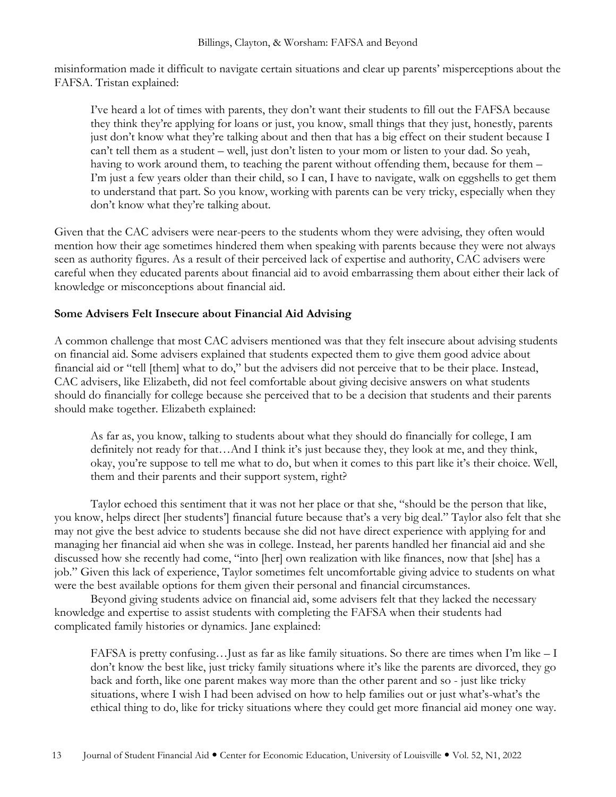misinformation made it difficult to navigate certain situations and clear up parents' misperceptions about the FAFSA. Tristan explained:

I've heard a lot of times with parents, they don't want their students to fill out the FAFSA because they think they're applying for loans or just, you know, small things that they just, honestly, parents just don't know what they're talking about and then that has a big effect on their student because I can't tell them as a student – well, just don't listen to your mom or listen to your dad. So yeah, having to work around them, to teaching the parent without offending them, because for them – I'm just a few years older than their child, so I can, I have to navigate, walk on eggshells to get them to understand that part. So you know, working with parents can be very tricky, especially when they don't know what they're talking about.

Given that the CAC advisers were near-peers to the students whom they were advising, they often would mention how their age sometimes hindered them when speaking with parents because they were not always seen as authority figures. As a result of their perceived lack of expertise and authority, CAC advisers were careful when they educated parents about financial aid to avoid embarrassing them about either their lack of knowledge or misconceptions about financial aid.

### **Some Advisers Felt Insecure about Financial Aid Advising**

A common challenge that most CAC advisers mentioned was that they felt insecure about advising students on financial aid. Some advisers explained that students expected them to give them good advice about financial aid or "tell [them] what to do," but the advisers did not perceive that to be their place. Instead, CAC advisers, like Elizabeth, did not feel comfortable about giving decisive answers on what students should do financially for college because she perceived that to be a decision that students and their parents should make together. Elizabeth explained:

As far as, you know, talking to students about what they should do financially for college, I am definitely not ready for that…And I think it's just because they, they look at me, and they think, okay, you're suppose to tell me what to do, but when it comes to this part like it's their choice. Well, them and their parents and their support system, right?

Taylor echoed this sentiment that it was not her place or that she, "should be the person that like, you know, helps direct [her students'] financial future because that's a very big deal." Taylor also felt that she may not give the best advice to students because she did not have direct experience with applying for and managing her financial aid when she was in college. Instead, her parents handled her financial aid and she discussed how she recently had come, "into [her] own realization with like finances, now that [she] has a job." Given this lack of experience, Taylor sometimes felt uncomfortable giving advice to students on what were the best available options for them given their personal and financial circumstances.

Beyond giving students advice on financial aid, some advisers felt that they lacked the necessary knowledge and expertise to assist students with completing the FAFSA when their students had complicated family histories or dynamics. Jane explained:

FAFSA is pretty confusing…Just as far as like family situations. So there are times when I'm like – I don't know the best like, just tricky family situations where it's like the parents are divorced, they go back and forth, like one parent makes way more than the other parent and so - just like tricky situations, where I wish I had been advised on how to help families out or just what's-what's the ethical thing to do, like for tricky situations where they could get more financial aid money one way.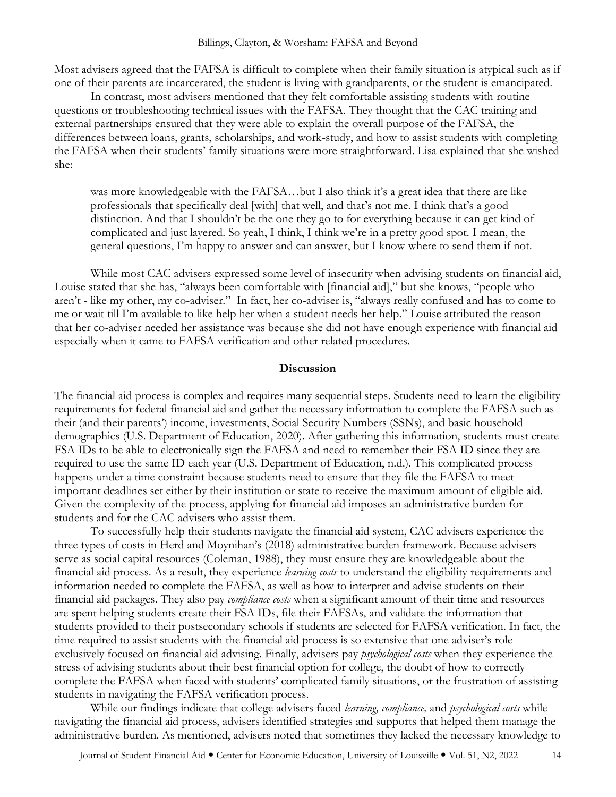Most advisers agreed that the FAFSA is difficult to complete when their family situation is atypical such as if one of their parents are incarcerated, the student is living with grandparents, or the student is emancipated.

In contrast, most advisers mentioned that they felt comfortable assisting students with routine questions or troubleshooting technical issues with the FAFSA. They thought that the CAC training and external partnerships ensured that they were able to explain the overall purpose of the FAFSA, the differences between loans, grants, scholarships, and work-study, and how to assist students with completing the FAFSA when their students' family situations were more straightforward. Lisa explained that she wished she:

was more knowledgeable with the FAFSA…but I also think it's a great idea that there are like professionals that specifically deal [with] that well, and that's not me. I think that's a good distinction. And that I shouldn't be the one they go to for everything because it can get kind of complicated and just layered. So yeah, I think, I think we're in a pretty good spot. I mean, the general questions, I'm happy to answer and can answer, but I know where to send them if not.

While most CAC advisers expressed some level of insecurity when advising students on financial aid, Louise stated that she has, "always been comfortable with [financial aid]," but she knows, "people who aren't - like my other, my co-adviser." In fact, her co-adviser is, "always really confused and has to come to me or wait till I'm available to like help her when a student needs her help." Louise attributed the reason that her co-adviser needed her assistance was because she did not have enough experience with financial aid especially when it came to FAFSA verification and other related procedures.

#### **Discussion**

The financial aid process is complex and requires many sequential steps. Students need to learn the eligibility requirements for federal financial aid and gather the necessary information to complete the FAFSA such as their (and their parents') income, investments, Social Security Numbers (SSNs), and basic household demographics (U.S. Department of Education, 2020). After gathering this information, students must create FSA IDs to be able to electronically sign the FAFSA and need to remember their FSA ID since they are required to use the same ID each year (U.S. Department of Education, n.d.). This complicated process happens under a time constraint because students need to ensure that they file the FAFSA to meet important deadlines set either by their institution or state to receive the maximum amount of eligible aid. Given the complexity of the process, applying for financial aid imposes an administrative burden for students and for the CAC advisers who assist them.

To successfully help their students navigate the financial aid system, CAC advisers experience the three types of costs in Herd and Moynihan's (2018) administrative burden framework. Because advisers serve as social capital resources (Coleman, 1988), they must ensure they are knowledgeable about the financial aid process. As a result, they experience *learning costs* to understand the eligibility requirements and information needed to complete the FAFSA, as well as how to interpret and advise students on their financial aid packages. They also pay *compliance costs* when a significant amount of their time and resources are spent helping students create their FSA IDs, file their FAFSAs, and validate the information that students provided to their postsecondary schools if students are selected for FAFSA verification. In fact, the time required to assist students with the financial aid process is so extensive that one adviser's role exclusively focused on financial aid advising. Finally, advisers pay *psychological costs* when they experience the stress of advising students about their best financial option for college, the doubt of how to correctly complete the FAFSA when faced with students' complicated family situations, or the frustration of assisting students in navigating the FAFSA verification process.

While our findings indicate that college advisers faced *learning, compliance,* and *psychological costs* while navigating the financial aid process, advisers identified strategies and supports that helped them manage the administrative burden. As mentioned, advisers noted that sometimes they lacked the necessary knowledge to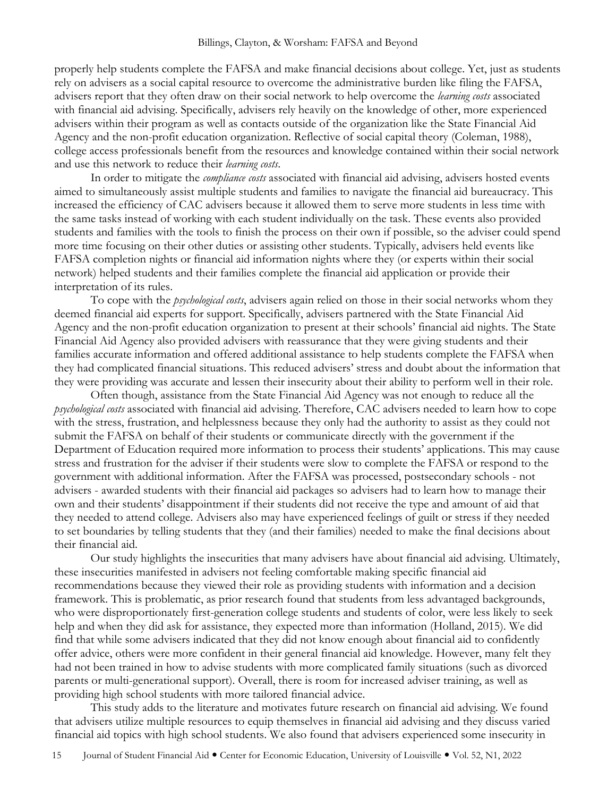properly help students complete the FAFSA and make financial decisions about college. Yet, just as students rely on advisers as a social capital resource to overcome the administrative burden like filing the FAFSA, advisers report that they often draw on their social network to help overcome the *learning costs* associated with financial aid advising. Specifically, advisers rely heavily on the knowledge of other, more experienced advisers within their program as well as contacts outside of the organization like the State Financial Aid Agency and the non-profit education organization. Reflective of social capital theory (Coleman, 1988), college access professionals benefit from the resources and knowledge contained within their social network and use this network to reduce their *learning costs*.

In order to mitigate the *compliance costs* associated with financial aid advising, advisers hosted events aimed to simultaneously assist multiple students and families to navigate the financial aid bureaucracy. This increased the efficiency of CAC advisers because it allowed them to serve more students in less time with the same tasks instead of working with each student individually on the task. These events also provided students and families with the tools to finish the process on their own if possible, so the adviser could spend more time focusing on their other duties or assisting other students. Typically, advisers held events like FAFSA completion nights or financial aid information nights where they (or experts within their social network) helped students and their families complete the financial aid application or provide their interpretation of its rules.

To cope with the *psychological costs*, advisers again relied on those in their social networks whom they deemed financial aid experts for support. Specifically, advisers partnered with the State Financial Aid Agency and the non-profit education organization to present at their schools' financial aid nights. The State Financial Aid Agency also provided advisers with reassurance that they were giving students and their families accurate information and offered additional assistance to help students complete the FAFSA when they had complicated financial situations. This reduced advisers' stress and doubt about the information that they were providing was accurate and lessen their insecurity about their ability to perform well in their role.

Often though, assistance from the State Financial Aid Agency was not enough to reduce all the *psychological costs* associated with financial aid advising. Therefore, CAC advisers needed to learn how to cope with the stress, frustration, and helplessness because they only had the authority to assist as they could not submit the FAFSA on behalf of their students or communicate directly with the government if the Department of Education required more information to process their students' applications. This may cause stress and frustration for the adviser if their students were slow to complete the FAFSA or respond to the government with additional information. After the FAFSA was processed, postsecondary schools - not advisers - awarded students with their financial aid packages so advisers had to learn how to manage their own and their students' disappointment if their students did not receive the type and amount of aid that they needed to attend college. Advisers also may have experienced feelings of guilt or stress if they needed to set boundaries by telling students that they (and their families) needed to make the final decisions about their financial aid.

Our study highlights the insecurities that many advisers have about financial aid advising. Ultimately, these insecurities manifested in advisers not feeling comfortable making specific financial aid recommendations because they viewed their role as providing students with information and a decision framework. This is problematic, as prior research found that students from less advantaged backgrounds, who were disproportionately first-generation college students and students of color, were less likely to seek help and when they did ask for assistance, they expected more than information (Holland, 2015). We did find that while some advisers indicated that they did not know enough about financial aid to confidently offer advice, others were more confident in their general financial aid knowledge. However, many felt they had not been trained in how to advise students with more complicated family situations (such as divorced parents or multi-generational support). Overall, there is room for increased adviser training, as well as providing high school students with more tailored financial advice.

This study adds to the literature and motivates future research on financial aid advising. We found that advisers utilize multiple resources to equip themselves in financial aid advising and they discuss varied financial aid topics with high school students. We also found that advisers experienced some insecurity in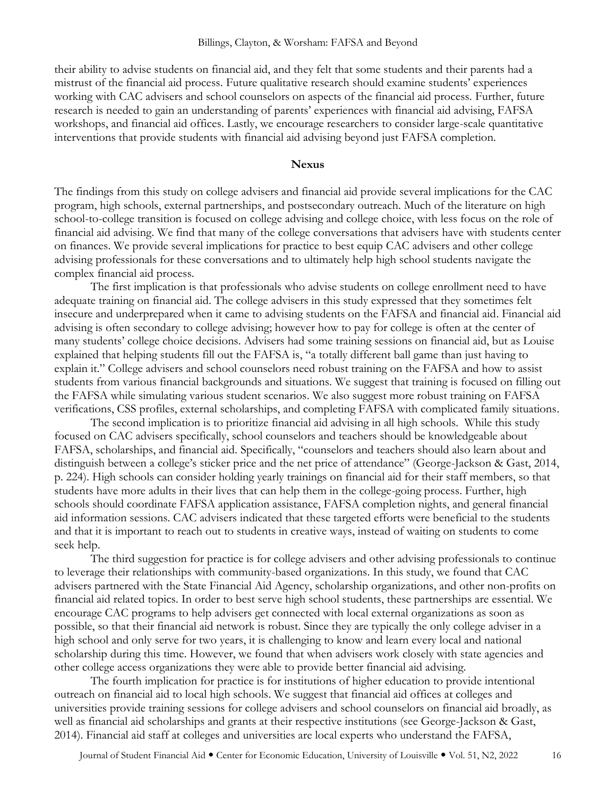their ability to advise students on financial aid, and they felt that some students and their parents had a mistrust of the financial aid process. Future qualitative research should examine students' experiences working with CAC advisers and school counselors on aspects of the financial aid process. Further, future research is needed to gain an understanding of parents' experiences with financial aid advising, FAFSA workshops, and financial aid offices. Lastly, we encourage researchers to consider large-scale quantitative interventions that provide students with financial aid advising beyond just FAFSA completion.

#### **Nexus**

The findings from this study on college advisers and financial aid provide several implications for the CAC program, high schools, external partnerships, and postsecondary outreach. Much of the literature on high school-to-college transition is focused on college advising and college choice, with less focus on the role of financial aid advising. We find that many of the college conversations that advisers have with students center on finances. We provide several implications for practice to best equip CAC advisers and other college advising professionals for these conversations and to ultimately help high school students navigate the complex financial aid process.

The first implication is that professionals who advise students on college enrollment need to have adequate training on financial aid. The college advisers in this study expressed that they sometimes felt insecure and underprepared when it came to advising students on the FAFSA and financial aid. Financial aid advising is often secondary to college advising; however how to pay for college is often at the center of many students' college choice decisions. Advisers had some training sessions on financial aid, but as Louise explained that helping students fill out the FAFSA is, "a totally different ball game than just having to explain it." College advisers and school counselors need robust training on the FAFSA and how to assist students from various financial backgrounds and situations. We suggest that training is focused on filling out the FAFSA while simulating various student scenarios. We also suggest more robust training on FAFSA verifications, CSS profiles, external scholarships, and completing FAFSA with complicated family situations.

The second implication is to prioritize financial aid advising in all high schools. While this study focused on CAC advisers specifically, school counselors and teachers should be knowledgeable about FAFSA, scholarships, and financial aid. Specifically, "counselors and teachers should also learn about and distinguish between a college's sticker price and the net price of attendance" (George-Jackson & Gast, 2014, p. 224). High schools can consider holding yearly trainings on financial aid for their staff members, so that students have more adults in their lives that can help them in the college-going process. Further, high schools should coordinate FAFSA application assistance, FAFSA completion nights, and general financial aid information sessions. CAC advisers indicated that these targeted efforts were beneficial to the students and that it is important to reach out to students in creative ways, instead of waiting on students to come seek help.

The third suggestion for practice is for college advisers and other advising professionals to continue to leverage their relationships with community-based organizations. In this study, we found that CAC advisers partnered with the State Financial Aid Agency, scholarship organizations, and other non-profits on financial aid related topics. In order to best serve high school students, these partnerships are essential. We encourage CAC programs to help advisers get connected with local external organizations as soon as possible, so that their financial aid network is robust. Since they are typically the only college adviser in a high school and only serve for two years, it is challenging to know and learn every local and national scholarship during this time. However, we found that when advisers work closely with state agencies and other college access organizations they were able to provide better financial aid advising.

The fourth implication for practice is for institutions of higher education to provide intentional outreach on financial aid to local high schools. We suggest that financial aid offices at colleges and universities provide training sessions for college advisers and school counselors on financial aid broadly, as well as financial aid scholarships and grants at their respective institutions (see George-Jackson & Gast, 2014). Financial aid staff at colleges and universities are local experts who understand the FAFSA,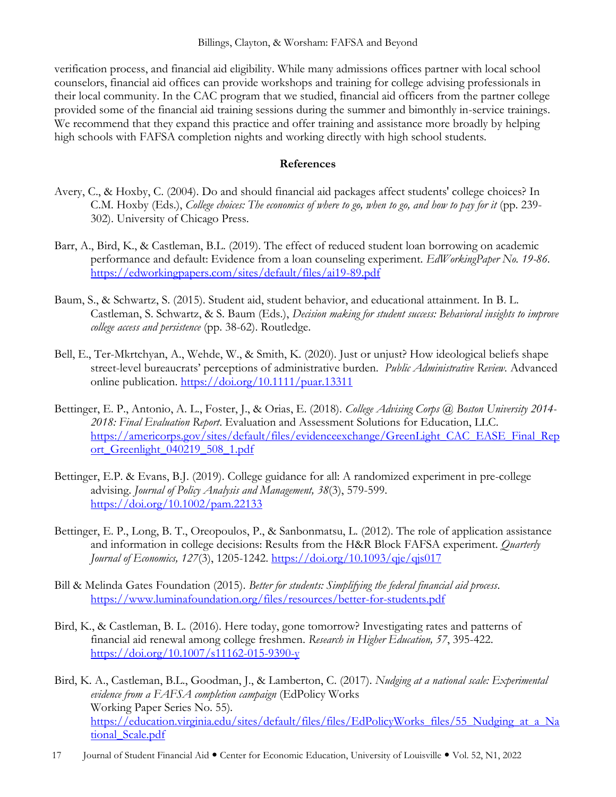### Billings, Clayton, & Worsham: FAFSA and Beyond

verification process, and financial aid eligibility. While many admissions offices partner with local school counselors, financial aid offices can provide workshops and training for college advising professionals in their local community. In the CAC program that we studied, financial aid officers from the partner college provided some of the financial aid training sessions during the summer and bimonthly in-service trainings. We recommend that they expand this practice and offer training and assistance more broadly by helping high schools with FAFSA completion nights and working directly with high school students.

#### **References**

- Avery, C., & Hoxby, C. (2004). Do and should financial aid packages affect students' college choices? In C.M. Hoxby (Eds.), *College choices: The economics of where to go, when to go, and how to pay for it* (pp. 239-302). University of Chicago Press.
- Barr, A., Bird, K., & Castleman, B.L. (2019). The effect of reduced student loan borrowing on academic performance and default: Evidence from a loan counseling experiment. *EdWorkingPaper No. 19-86.*  <https://edworkingpapers.com/sites/default/files/ai19-89.pdf>
- Baum, S., & Schwartz, S. (2015). Student aid, student behavior, and educational attainment. In B. L. Castleman, S. Schwartz, & S. Baum (Eds.), *Decision making for student success: Behavioral insights to improve college access and persistence* (pp. 38-62). Routledge.
- Bell, E., Ter-Mkrtchyan, A., Wehde, W., & Smith, K. (2020). Just or unjust? How ideological beliefs shape street-level bureaucrats' perceptions of administrative burden. *Public Administrative Review.* Advanced online publication. <https://doi.org/10.1111/puar.13311>
- Bettinger, E. P., Antonio, A. L., Foster, J., & Orias, E. (2018). *College Advising Corps @ Boston University 2014- 2018: Final Evaluation Report*. Evaluation and Assessment Solutions for Education, LLC. [https://americorps.gov/sites/default/files/evidenceexchange/GreenLight\\_CAC\\_EASE\\_Final\\_Rep](https://americorps.gov/sites/default/files/evidenceexchange/GreenLight_CAC_EASE_Final_Report_Greenlight_040219_508_1.pdf) ort Greenlight 040219\_508\_1.pdf
- Bettinger, E.P. & Evans, B.J. (2019). College guidance for all: A randomized experiment in pre-college advising. *Journal of Policy Analysis and Management, 38*(3), 579-599. <https://doi.org/10.1002/pam.22133>
- Bettinger, E. P., Long, B. T., Oreopoulos, P., & Sanbonmatsu, L. (2012). The role of application assistance and information in college decisions: Results from the H&R Block FAFSA experiment. *Quarterly Journal of Economics, 127*(3), 1205-1242. <https://doi.org/10.1093/qje/qjs017>
- Bill & Melinda Gates Foundation (2015). *Better for students: Simplifying the federal financial aid process*. <https://www.luminafoundation.org/files/resources/better-for-students.pdf>
- Bird, K., & Castleman, B. L. (2016). Here today, gone tomorrow? Investigating rates and patterns of financial aid renewal among college freshmen. *Research in Higher Education, 57*, 395-422. <https://doi.org/10.1007/s11162-015-9390-y>
- Bird, K. A., Castleman, B.L., Goodman, J., & Lamberton, C. (2017)*. Nudging at a national scale: Experimental evidence from a FAFSA completion campaign* (EdPolicy Works Working Paper Series No. 55)*.* [https://education.virginia.edu/sites/default/files/files/EdPolicyWorks\\_files/55\\_Nudging\\_at\\_a\\_Na](https://education.virginia.edu/sites/default/files/files/EdPolicyWorks_files/55_Nudging_at_a_National_Scale.pdf) tional Scale.pdf
- 17 Journal of Student Financial Aid Center for Economic Education, University of Louisville Vol. 52, N1, 2022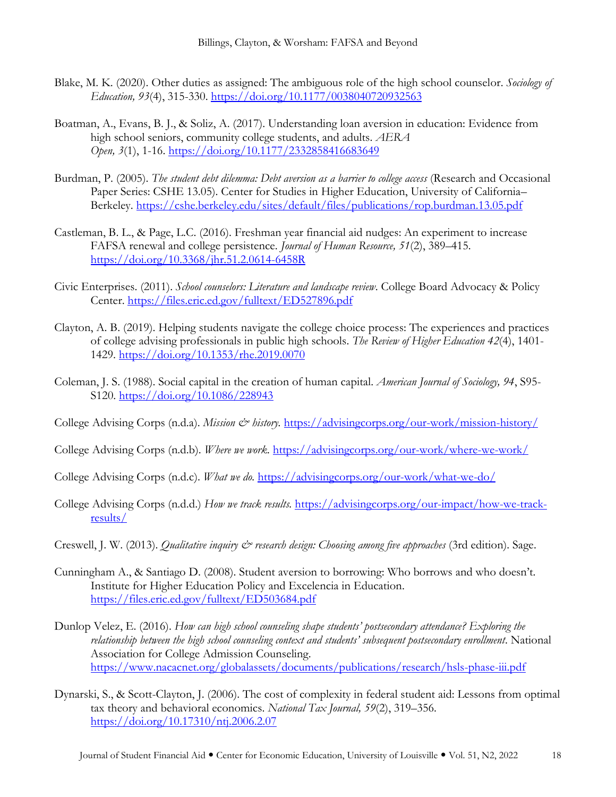- Blake, M. K. (2020). Other duties as assigned: The ambiguous role of the high school counselor. *Sociology of Education, 93*(4), 315-330. <https://doi.org/10.1177/0038040720932563>
- Boatman, A., Evans, B. J., & Soliz, A. (2017). Understanding loan aversion in education: Evidence from high school seniors, community college students, and adults. *AERA Open, 3*(1), 1-16. <https://doi.org/10.1177/2332858416683649>
- Burdman, P. (2005). *The student debt dilemma: Debt aversion as a barrier to college access* (Research and Occasional Paper Series: CSHE 13.05). Center for Studies in Higher Education, University of California– Berkeley. <https://cshe.berkeley.edu/sites/default/files/publications/rop.burdman.13.05.pdf>
- Castleman, B. L., & Page, L.C. (2016). Freshman year financial aid nudges: An experiment to increase FAFSA renewal and college persistence. *Journal of Human Resource, 51*(2), 389–415. <https://doi.org/10.3368/jhr.51.2.0614-6458R>
- Civic Enterprises. (2011). *School counselors: Literature and landscape review*. College Board Advocacy & Policy Center. <https://files.eric.ed.gov/fulltext/ED527896.pdf>
- Clayton, A. B. (2019). Helping students navigate the college choice process: The experiences and practices of college advising professionals in public high schools. *The Review of Higher Education 42*(4), 1401- 1429. <https://doi.org/10.1353/rhe.2019.0070>
- Coleman, J. S. (1988). Social capital in the creation of human capital. *American Journal of Sociology, 94*, S95- S120. <https://doi.org/10.1086/228943>

College Advising Corps (n.d.a). *Mission & history*. <https://advisingcorps.org/our-work/mission-history/>

- College Advising Corps (n.d.b). *Where we work.* <https://advisingcorps.org/our-work/where-we-work/>
- College Advising Corps (n.d.c). *What we do.* <https://advisingcorps.org/our-work/what-we-do/>
- College Advising Corps (n.d.d.) *How we track results.* [https://advisingcorps.org/our-impact/how-we-track](https://advisingcorps.org/our-impact/how-we-track-results/)[results/](https://advisingcorps.org/our-impact/how-we-track-results/)
- Creswell, J. W. (2013). *Qualitative inquiry & research design: Choosing among five approaches* (3rd edition). Sage.
- Cunningham A., & Santiago D. (2008). Student aversion to borrowing: Who borrows and who doesn't. Institute for Higher Education Policy and Excelencia in Education. <https://files.eric.ed.gov/fulltext/ED503684.pdf>
- Dunlop Velez, E. (2016). *How can high school counseling shape students' postsecondary attendance? Exploring the relationship between the high school counseling context and students' subsequent postsecondary enrollment*. National Association for College Admission Counseling. <https://www.nacacnet.org/globalassets/documents/publications/research/hsls-phase-iii.pdf>
- Dynarski, S., & Scott-Clayton, J. (2006). The cost of complexity in federal student aid: Lessons from optimal tax theory and behavioral economics. *National Tax Journal, 59*(2), 319–356. <https://doi.org/10.17310/ntj.2006.2.07>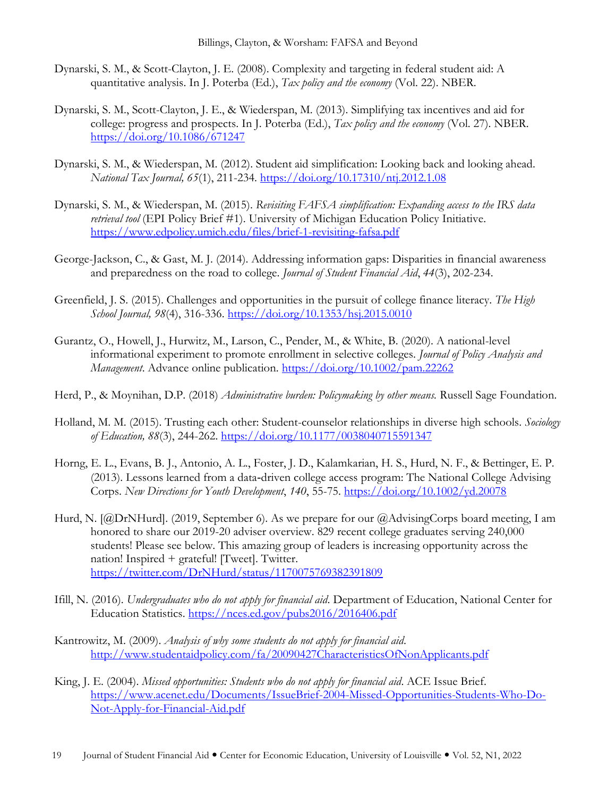- Dynarski, S. M., & Scott-Clayton, J. E. (2008). Complexity and targeting in federal student aid: A quantitative analysis. In J. Poterba (Ed.), *Tax policy and the economy* (Vol. 22). NBER.
- Dynarski, S. M., Scott-Clayton, J. E., & Wiederspan, M. (2013). Simplifying tax incentives and aid for college: progress and prospects. In J. Poterba (Ed.), *Tax policy and the economy* (Vol. 27). NBER. <https://doi.org/10.1086/671247>
- Dynarski, S. M., & Wiederspan, M. (2012). Student aid simplification: Looking back and looking ahead. *National Tax Journal, 65*(1), 211-234. <https://doi.org/10.17310/ntj.2012.1.08>
- Dynarski, S. M., & Wiederspan, M. (2015). *Revisiting FAFSA simplification: Expanding access to the IRS data retrieval tool* (EPI Policy Brief #1). University of Michigan Education Policy Initiative. <https://www.edpolicy.umich.edu/files/brief-1-revisiting-fafsa.pdf>
- George-Jackson, C., & Gast, M. J. (2014). Addressing information gaps: Disparities in financial awareness and preparedness on the road to college. *Journal of Student Financial Aid*, *44*(3), 202-234.
- Greenfield, J. S. (2015). Challenges and opportunities in the pursuit of college finance literacy. *The High School Journal, 98*(4), 316-336. <https://doi.org/10.1353/hsj.2015.0010>
- Gurantz, O., Howell, J., Hurwitz, M., Larson, C., Pender, M., & White, B. (2020). A national-level informational experiment to promote enrollment in selective colleges. *Journal of Policy Analysis and Management*. Advance online publication.<https://doi.org/10.1002/pam.22262>
- Herd, P., & Moynihan, D.P. (2018) *Administrative burden: Policymaking by other means.* Russell Sage Foundation.
- Holland, M. M. (2015). Trusting each other: Student-counselor relationships in diverse high schools. *Sociology of Education, 88*(3), 244-262. [https://doi.org/10.1177/0038040715591347](https://doi.org/10.1177%2F0038040715591347)
- Horng, E. L., Evans, B. J., Antonio, A. L., Foster, J. D., Kalamkarian, H. S., Hurd, N. F., & Bettinger, E. P. (2013). Lessons learned from a data‐driven college access program: The National College Advising Corps. *New Directions for Youth Development*, *140*, 55-75. <https://doi.org/10.1002/yd.20078>
- Hurd, N. [@DrNHurd]. (2019, September 6). As we prepare for our [@AdvisingCorps](https://twitter.com/AdvisingCorps) board meeting, I am honored to share our 2019-20 adviser overview. 829 recent college graduates serving 240,000 students! Please see below. This amazing group of leaders is increasing opportunity across the nation! Inspired + grateful! [Tweet]. Twitter. <https://twitter.com/DrNHurd/status/1170075769382391809>
- Ifill, N. (2016). *Undergraduates who do not apply for financial aid*. Department of Education, National Center for Education Statistics. <https://nces.ed.gov/pubs2016/2016406.pdf>
- Kantrowitz, M. (2009). *Analysis of why some students do not apply for financial aid*. <http://www.studentaidpolicy.com/fa/20090427CharacteristicsOfNonApplicants.pdf>
- King, J. E. (2004). *Missed opportunities: Students who do not apply for financial aid*. ACE Issue Brief. [https://www.acenet.edu/Documents/IssueBrief-2004-Missed-Opportunities-Students-Who-Do-](https://www.acenet.edu/Documents/IssueBrief-2004-Missed-Opportunities-Students-Who-Do-Not-Apply-for-Financial-Aid.pdf)[Not-Apply-for-Financial-Aid.pdf](https://www.acenet.edu/Documents/IssueBrief-2004-Missed-Opportunities-Students-Who-Do-Not-Apply-for-Financial-Aid.pdf)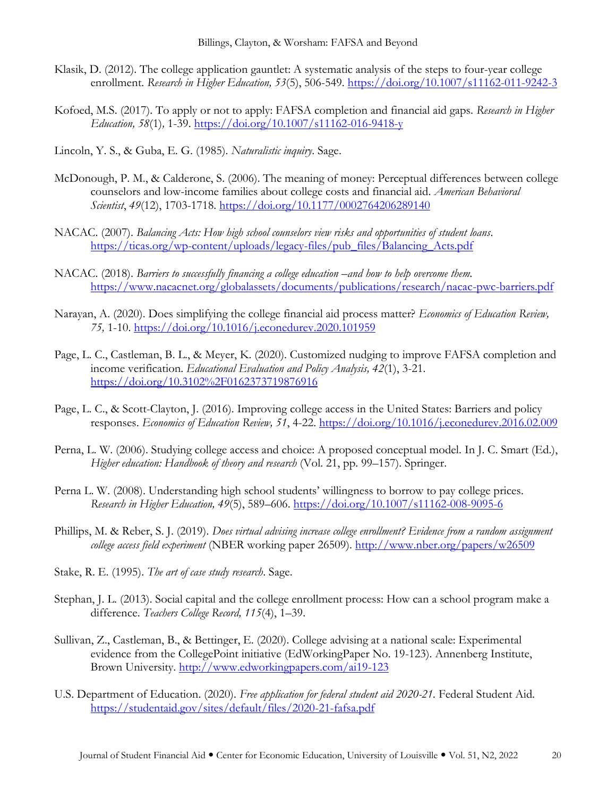- Klasik, D. (2012). The college application gauntlet: A systematic analysis of the steps to four-year college enrollment. *Research in Higher Education, 53*(5), 506-549. <https://doi.org/10.1007/s11162-011-9242-3>
- Kofoed, M.S. (2017). To apply or not to apply: FAFSA completion and financial aid gaps. *Research in Higher Education, 58*(1)*,* 1-39. <https://doi.org/10.1007/s11162-016-9418-y>
- Lincoln, Y. S., & Guba, E. G. (1985). *Naturalistic inquiry*. Sage.
- McDonough, P. M., & Calderone, S. (2006). The meaning of money: Perceptual differences between college counselors and low-income families about college costs and financial aid. *American Behavioral Scientist*, *49*(12), 1703-1718. <https://doi.org/10.1177/0002764206289140>
- NACAC. (2007). *Balancing Acts: How high school counselors view risks and opportunities of student loans*. [https://ticas.org/wp-content/uploads/legacy-files/pub\\_files/Balancing\\_Acts.pdf](https://ticas.org/wp-content/uploads/legacy-files/pub_files/Balancing_Acts.pdf)
- NACAC. (2018). *Barriers to successfully financing a college education –and how to help overcome them.* <https://www.nacacnet.org/globalassets/documents/publications/research/nacac-pwc-barriers.pdf>
- Narayan, A. (2020). Does simplifying the college financial aid process matter? *Economics of Education Review, 75,* 1-10. <https://doi.org/10.1016/j.econedurev.2020.101959>
- Page, L. C., Castleman, B. L., & Meyer, K. (2020). Customized nudging to improve FAFSA completion and income verification. *Educational Evaluation and Policy Analysis, 42*(1), 3-21. <https://doi.org/10.3102%2F0162373719876916>
- Page, L. C., & Scott-Clayton, J. (2016). Improving college access in the United States: Barriers and policy responses. *Economics of Education Review, 51*, 4-22. <https://doi.org/10.1016/j.econedurev.2016.02.009>
- Perna, L. W. (2006). Studying college access and choice: A proposed conceptual model. In J. C. Smart (Ed.), *Higher education: Handbook of theory and research* (Vol. 21, pp. 99–157). Springer.
- Perna L. W. (2008). Understanding high school students' willingness to borrow to pay college prices. *Research in Higher Education, 49*(5), 589–606. <https://doi.org/10.1007/s11162-008-9095-6>
- Phillips, M. & Reber, S. J. (2019). *Does virtual advising increase college enrollment? Evidence from a random assignment college access field experiment* (NBER working paper 26509).<http://www.nber.org/papers/w26509>
- Stake, R. E. (1995). *The art of case study research*. Sage.
- Stephan, J. L. (2013). Social capital and the college enrollment process: How can a school program make a difference. *Teachers College Record, 115*(4), 1–39.
- Sullivan, Z., Castleman, B., & Bettinger, E. (2020). College advising at a national scale: Experimental evidence from the CollegePoint initiative (EdWorkingPaper No. 19-123). Annenberg Institute, Brown University.<http://www.edworkingpapers.com/ai19-123>
- U.S. Department of Education. (2020). *Free application for federal student aid 2020-21.* Federal Student Aid. <https://studentaid.gov/sites/default/files/2020-21-fafsa.pdf>